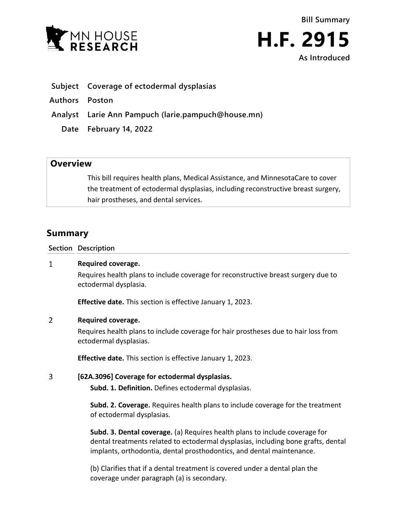



- **Subject Coverage of ectodermal dysplasias**
- **Authors Poston**
- **Analyst Larie Ann Pampuch (larie.pampuch@house.mn)**
	- **Date February 14, 2022**

## **Overview**

This bill requires health plans, Medical Assistance, and MinnesotaCare to cover the treatment of ectodermal dysplasias, including reconstructive breast surgery, hair prostheses, and dental services.

# **Summary**

**Section Description**

#### $\mathbf{1}$ **Required coverage.**

Requires health plans to include coverage for reconstructive breast surgery due to ectodermal dysplasia.

**Effective date.** This section is effective January 1, 2023.

#### $\overline{2}$ **Required coverage.**

Requires health plans to include coverage for hair prostheses due to hair loss from ectodermal dysplasias.

**Effective date.** This section is effective January 1, 2023.

#### $\overline{3}$ **[62A.3096] Coverage for ectodermal dysplasias.**

**Subd. 1. Definition.** Defines ectodermal dysplasias.

**Subd. 2. Coverage.** Requires health plans to include coverage for the treatment of ectodermal dysplasias.

**Subd. 3. Dental coverage.** (a) Requires health plans to include coverage for dental treatments related to ectodermal dysplasias, including bone grafts, dental implants, orthodontia, dental prosthodontics, and dental maintenance.

(b) Clarifies that if a dental treatment is covered under a dental plan the coverage under paragraph (a) is secondary.